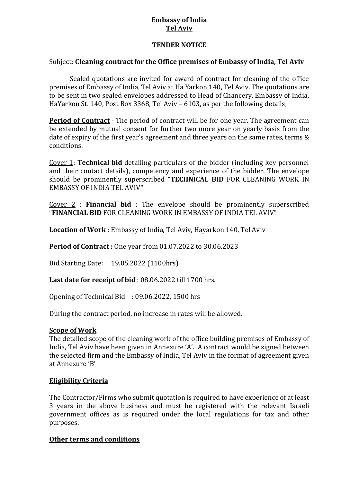### **Embassy of India Tel Aviv**

### **TENDER NOTICE**

### Subject: **Cleaning contract for the Office premises of Embassy of India, Tel Aviv**

Sealed quotations are invited for award of contract for cleaning of the office premises of Embassy of India, Tel Aviv at Ha Yarkon 140, Tel Aviv. The quotations are to be sent in two sealed envelopes addressed to Head of Chancery, Embassy of India, HaYarkon St. 140, Post Box 3368, Tel Aviv – 6103, as per the following details;

**Period of Contract** - The period of contract will be for one year. The agreement can be extended by mutual consent for further two more year on yearly basis from the date of expiry of the first year's agreement and three years on the same rates, terms & conditions.

Cover 1: **Technical bid** detailing particulars of the bidder (including key personnel and their contact details), competency and experience of the bidder. The envelope should be prominently superscribed "**TECHNICAL BID** FOR CLEANING WORK IN EMBASSY OF INDIA TEL AVIV"

Cover 2 : **Financial bid** : The envelope should be prominently superscribed "**FINANCIAL BID** FOR CLEANING WORK IN EMBASSY OF INDIA TEL AVIV"

**Location of Work** : Embassy of India, Tel Aviv, Hayarkon 140, Tel Aviv

**Period of Contract :** One year from 01.07.2022 to 30.06.2023

Bid Starting Date: 19.05.2022 (1100hrs)

**Last date for receipt of bid** : 08.06.2022 till 1700 hrs.

Opening of Technical Bid : 09.06.2022, 1500 hrs

During the contract period, no increase in rates will be allowed.

### **Scope of Work**

The detailed scope of the cleaning work of the office building premises of Embassy of India, Tel Aviv have been given in Annexure 'A'. A contract would be signed between the selected firm and the Embassy of India, Tel Aviv in the format of agreement given at Annexure 'B'

### **Eligibility Criteria**

The Contractor/Firms who submit quotation is required to have experience of at least 3 years in the above business and must be registered with the relevant Israeli government offices as is required under the local regulations for tax and other purposes.

### **Other terms and conditions**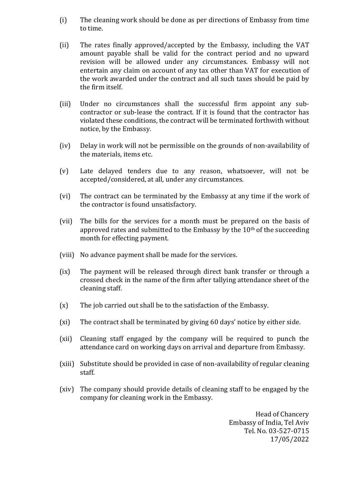- (i) The cleaning work should be done as per directions of Embassy from time to time.
- (ii) The rates finally approved/accepted by the Embassy, including the VAT amount payable shall be valid for the contract period and no upward revision will be allowed under any circumstances. Embassy will not entertain any claim on account of any tax other than VAT for execution of the work awarded under the contract and all such taxes should be paid by the firm itself.
- (iii) Under no circumstances shall the successful firm appoint any subcontractor or sub-lease the contract. If it is found that the contractor has violated these conditions, the contract will be terminated forthwith without notice, by the Embassy.
- (iv) Delay in work will not be permissible on the grounds of non-availability of the materials, items etc.
- (v) Late delayed tenders due to any reason, whatsoever, will not be accepted/considered, at all, under any circumstances.
- (vi) The contract can be terminated by the Embassy at any time if the work of the contractor is found unsatisfactory.
- (vii) The bills for the services for a month must be prepared on the basis of approved rates and submitted to the Embassy by the  $10<sup>th</sup>$  of the succeeding month for effecting payment.
- (viii) No advance payment shall be made for the services.
- (ix) The payment will be released through direct bank transfer or through a crossed check in the name of the firm after tallying attendance sheet of the cleaning staff.
- (x) The job carried out shall be to the satisfaction of the Embassy.
- (xi) The contract shall be terminated by giving 60 days' notice by either side.
- (xii) Cleaning staff engaged by the company will be required to punch the attendance card on working days on arrival and departure from Embassy.
- (xiii) Substitute should be provided in case of non-availability of regular cleaning staff.
- (xiv) The company should provide details of cleaning staff to be engaged by the company for cleaning work in the Embassy.

Head of Chancery Embassy of India, Tel Aviv Tel. No. 03-527-0715 17/05/2022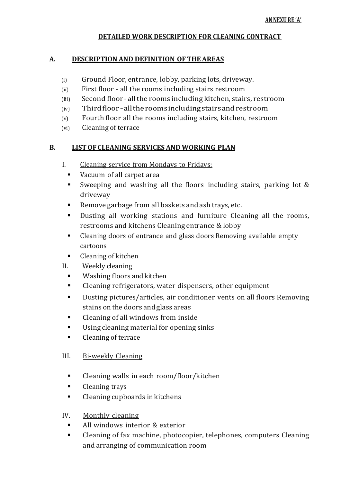### **DETAILED WORK DESCRIPTION FOR CLEANING CONTRACT**

### **A. DESCRIPTION AND DEFINITION OFTHE AREAS**

- (i) Ground Floor, entrance, lobby, parking lots, driveway.
- (ii) First floor all the rooms including stairs restroom
- (iii) Second floor -allthe rooms including kitchen, stairs, restroom
- (iv) Thirdfloor-alltheroomsincludingstairsandrestroom
- (v) Fourth floor all the rooms including stairs, kitchen, restroom
- (vi) Cleaning of terrace

# **B. LISTOFCLEANING SERVICES AND WORKING PLAN**

- I. Cleaning service from Mondays to Fridays;
	- Vacuum of all carpet area
	- Sweeping and washing all the floors including stairs, parking lot & driveway
	- Remove garbage from all baskets and ash trays, etc.
	- Dusting all working stations and furniture Cleaning all the rooms, restrooms and kitchens Cleaning entrance & lobby
	- Cleaning doors of entrance and glass doors Removing available empty cartoons
	- Cleaning of kitchen
- II. Weekly cleaning
	- **Washing floors and kitchen**
	- Cleaning refrigerators, water dispensers, other equipment
	- Dusting pictures/articles, air conditioner vents on all floors Removing stains on the doors andglass areas
	- Cleaning of all windows from inside
	- Using cleaning material for opening sinks
	- Cleaning of terrace

# III. Bi-weekly Cleaning

- **EXECUTE:** Cleaning walls in each room/floor/kitchen
- **Cleaning trays**
- Cleaning cupboards in kitchens

# IV. Monthly cleaning

- All windows interior & exterior
- Cleaning of fax machine, photocopier, telephones, computers Cleaning and arranging of communication room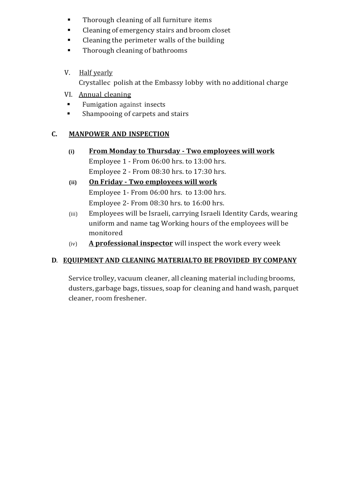- **Thorough cleaning of all furniture items**
- **Example 2** Cleaning of emergency stairs and broom closet
- Cleaning the perimeter walls of the building
- Thorough cleaning of bathrooms
- V. Half yearly

Crystallec polish at the Embassy lobby with no additional charge

- VI. Annual cleaning
- **Fumigation against insects**
- **Shampooing of carpets and stairs**

# **C. MANPOWER AND INSPECTION**

- **(i) From Monday to Thursday - Two employees will work**  Employee 1 - From 06:00 hrs. to 13:00 hrs. Employee 2 - From 08:30 hrs. to 17:30 hrs.
- **(ii) On Friday - Two employees will work** Employee 1- From 06:00 hrs. to 13:00 hrs. Employee 2- From 08:30 hrs. to 16:00 hrs.
- (iii) Employees will be Israeli, carrying Israeli Identity Cards, wearing uniform and name tag Working hours of the employees will be monitored
- (iv) **A professional inspector** will inspect the work every week

# **D**. **EQUIPMENT AND CLEANING MATERIALTO BE PROVIDED BY COMPANY**

Service trolley, vacuum cleaner, all cleaning material including brooms, dusters, garbage bags, tissues, soap for cleaning and hand wash, parquet cleaner, room freshener.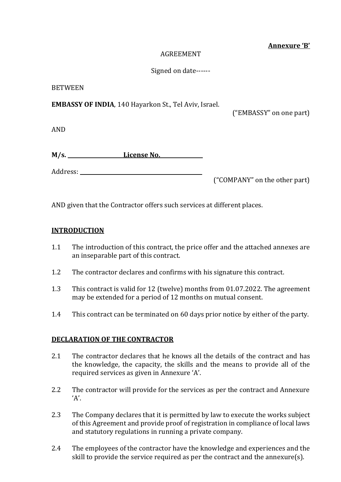### **Annexure 'B'**

#### AGREEMENT

### Signed on date------

#### BETWEEN

**EMBASSY OF INDIA**, 140 Hayarkon St., Tel Aviv, Israel.

("EMBASSY" on one part)

AND

| M/s. | License No. |
|------|-------------|
|      |             |

Address: **\_\_\_\_\_\_\_\_\_\_\_\_\_\_\_\_\_\_\_\_\_\_\_\_\_\_\_\_\_\_\_\_\_\_\_\_\_\_\_\_\_\_\_\_\_\_**

("COMPANY" on the other part)

AND given that the Contractor offers such services at different places.

### **INTRODUCTION**

- 1.1 The introduction of this contract, the price offer and the attached annexes are an inseparable part of this contract.
- 1.2 The contractor declares and confirms with his signature this contract.
- 1.3 This contract is valid for 12 (twelve) months from 01.07.2022. The agreement may be extended for a period of 12 months on mutual consent.
- 1.4 This contract can be terminated on 60 days prior notice by either of the party.

### **DECLARATION OF THE CONTRACTOR**

- 2.1 The contractor declares that he knows all the details of the contract and has the knowledge, the capacity, the skills and the means to provide all of the required services as given in Annexure 'A'.
- 2.2 The contractor will provide for the services as per the contract and Annexure  $'A'$ .
- 2.3 The Company declares that it is permitted by law to execute the works subject of this Agreement and provide proof of registration in compliance of local laws and statutory regulations in running a private company.
- 2.4 The employees of the contractor have the knowledge and experiences and the skill to provide the service required as per the contract and the annexure(s).